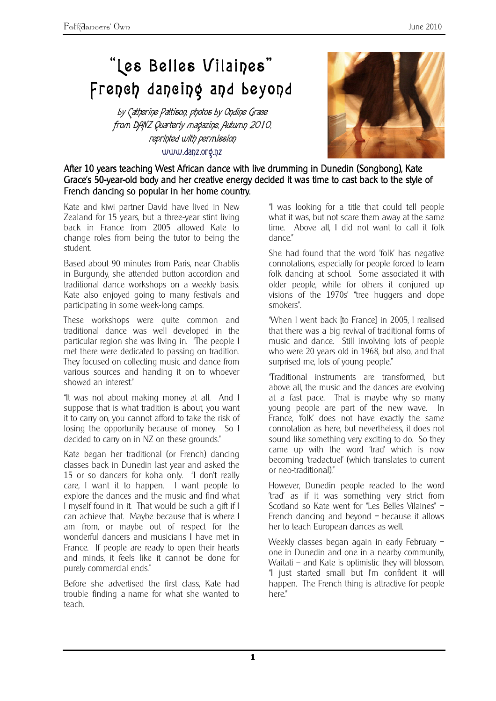## "Les Belles Vilaines" French dancing and beyond

by Catherine Pattison, photos by Ondine Grace from DANZ Quarterly magazine, Autumn 2010, reprinted with permission www.danz.org.nz



## After 10 years teaching West African dance with live drumming in Dunedin (Songbong), Kate Grace's 50-year-old body and her creative energy decided it was time to cast back to the style of French dancing so popular in her home country.

Kate and kiwi partner David have lived in New Zealand for 15 years, but a three-year stint living back in France from 2005 allowed Kate to change roles from being the tutor to being the student.

Based about 90 minutes from Paris, near Chablis in Burgundy, she attended button accordion and traditional dance workshops on a weekly basis. Kate also enjoyed going to many festivals and participating in some week-long camps.

These workshops were quite common and traditional dance was well developed in the particular region she was living in. "The people I met there were dedicated to passing on tradition. They focused on collecting music and dance from various sources and handing it on to whoever showed an interest."

"It was not about making money at all. And I suppose that is what tradition is about, you want it to carry on, you cannot afford to take the risk of losing the opportunity because of money. So I decided to carry on in NZ on these grounds."

Kate began her traditional (or French) dancing classes back in Dunedin last year and asked the 15 or so dancers for koha only. "I don't really care, I want it to happen. I want people to explore the dances and the music and find what I myself found in it. That would be such a gift if I can achieve that. Maybe because that is where I am from, or maybe out of respect for the wonderful dancers and musicians I have met in France. If people are ready to open their hearts and minds, it feels like it cannot be done for purely commercial ends."

Before she advertised the first class, Kate had trouble finding a name for what she wanted to teach.

"I was looking for a title that could tell people what it was, but not scare them away at the same time. Above all, I did not want to call it folk dance."

She had found that the word 'folk' has negative connotations, especially for people forced to learn folk dancing at school. Some associated it with older people, while for others it conjured up visions of the 1970s' "tree huggers and dope smokers".

"When I went back [to France] in 2005, I realised that there was a big revival of traditional forms of music and dance. Still involving lots of people who were 20 years old in 1968, but also, and that surprised me, lots of young people."

"Traditional instruments are transformed, but above all, the music and the dances are evolving at a fast pace. That is maybe why so many young people are part of the new wave. In France, 'folk' does not have exactly the same connotation as here, but nevertheless, it does not sound like something very exciting to do. So they came up with the word 'trad' which is now becoming 'tradactuel' (which translates to current or neo-traditional)."

However, Dunedin people reacted to the word 'trad' as if it was something very strict from Scotland so Kate went for "Les Belles Vilaines" -French dancing and beyond – because it allows her to teach European dances as well.

Weekly classes began again in early February one in Dunedin and one in a nearby community, Waitati – and Kate is optimistic they will blossom. "I just started small but I'm confident it will happen. The French thing is attractive for people here."